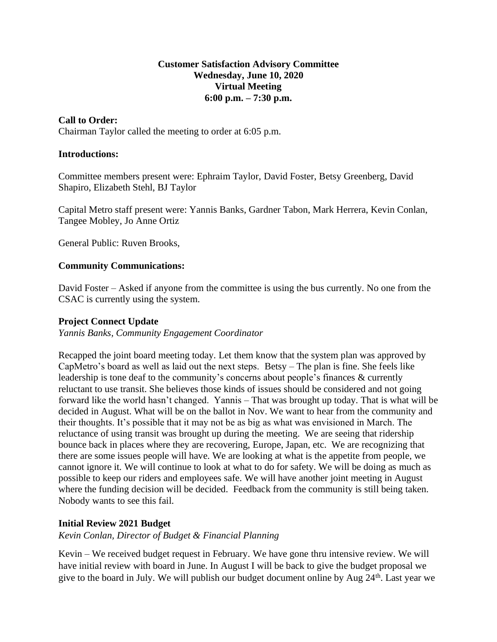### **Customer Satisfaction Advisory Committee Wednesday, June 10, 2020 Virtual Meeting 6:00 p.m. – 7:30 p.m.**

## **Call to Order:**

Chairman Taylor called the meeting to order at 6:05 p.m.

#### **Introductions:**

Committee members present were: Ephraim Taylor, David Foster, Betsy Greenberg, David Shapiro, Elizabeth Stehl, BJ Taylor

Capital Metro staff present were: Yannis Banks, Gardner Tabon, Mark Herrera, Kevin Conlan, Tangee Mobley, Jo Anne Ortiz

General Public: Ruven Brooks,

#### **Community Communications:**

David Foster – Asked if anyone from the committee is using the bus currently. No one from the CSAC is currently using the system.

#### **Project Connect Update**

*Yannis Banks, Community Engagement Coordinator*

Recapped the joint board meeting today. Let them know that the system plan was approved by CapMetro's board as well as laid out the next steps. Betsy – The plan is fine. She feels like leadership is tone deaf to the community's concerns about people's finances & currently reluctant to use transit. She believes those kinds of issues should be considered and not going forward like the world hasn't changed. Yannis – That was brought up today. That is what will be decided in August. What will be on the ballot in Nov. We want to hear from the community and their thoughts. It's possible that it may not be as big as what was envisioned in March. The reluctance of using transit was brought up during the meeting. We are seeing that ridership bounce back in places where they are recovering, Europe, Japan, etc. We are recognizing that there are some issues people will have. We are looking at what is the appetite from people, we cannot ignore it. We will continue to look at what to do for safety. We will be doing as much as possible to keep our riders and employees safe. We will have another joint meeting in August where the funding decision will be decided. Feedback from the community is still being taken. Nobody wants to see this fail.

#### **Initial Review 2021 Budget**

*Kevin Conlan, Director of Budget & Financial Planning*

Kevin – We received budget request in February. We have gone thru intensive review. We will have initial review with board in June. In August I will be back to give the budget proposal we give to the board in July. We will publish our budget document online by Aug  $24<sup>th</sup>$ . Last year we